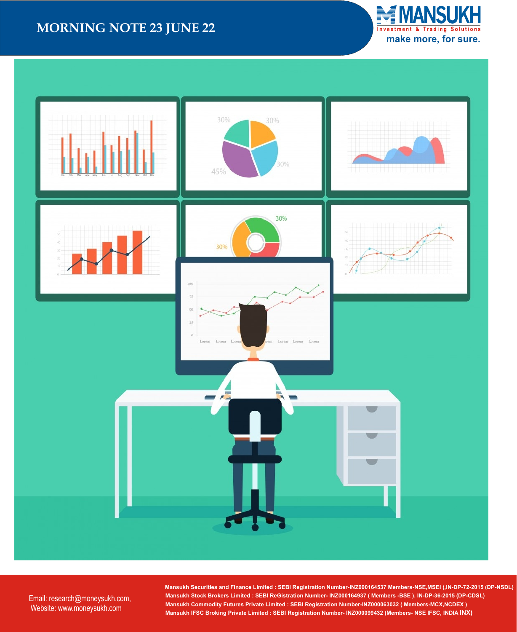## **MORNING NOTE 23 JUNE 22**





Email: research@moneysukh.com, Website: www.moneysukh.com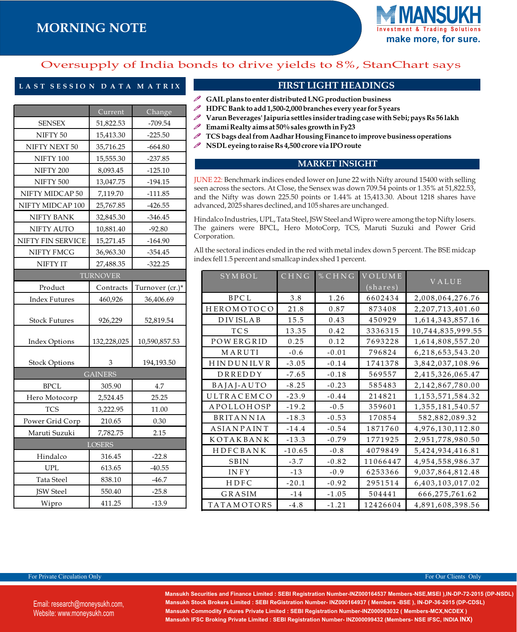## **MORNING NOTE**



### Oversupply of India bonds to drive yields to 8%, StanChart says

### **L A S T S E S S I O N D A T A M A T R I X**

|                      | Current        | Change          |  |  |  |
|----------------------|----------------|-----------------|--|--|--|
| <b>SENSEX</b>        | 51,822.53      | $-709.54$       |  |  |  |
| NIFTY <sub>50</sub>  | 15,413.30      | $-225.50$       |  |  |  |
| NIFTY NEXT 50        | 35,716.25      | $-664.80$       |  |  |  |
| NIFTY 100            | 15,555.30      | $-237.85$       |  |  |  |
| NIFTY 200            | 8,093.45       | $-125.10$       |  |  |  |
| NIFTY 500            | 13,047.75      | $-194.15$       |  |  |  |
| NIFTY MIDCAP 50      | 7,119.70       | $-111.85$       |  |  |  |
| NIFTY MIDCAP 100     | 25,767.85      | $-426.55$       |  |  |  |
| NIFTY BANK           | 32,845.30      | $-346.45$       |  |  |  |
| NIFTY AUTO           | 10,881.40      | $-92.80$        |  |  |  |
| NIFTY FIN SERVICE    | 15,271.45      | $-164.90$       |  |  |  |
| NIFTY FMCG           | 36,963.30      | $-354.45$       |  |  |  |
| NIFTY IT             | 27,488.35      | $-322.25$       |  |  |  |
| <b>TURNOVER</b>      |                |                 |  |  |  |
| Product              | Contracts      | Turnover (cr.)* |  |  |  |
| <b>Index Futures</b> | 460,926        | 36,406.69       |  |  |  |
| <b>Stock Futures</b> | 926,229        | 52,819.54       |  |  |  |
| <b>Index Options</b> | 132,228,025    | 10,590,857.53   |  |  |  |
| <b>Stock Options</b> | 3              | 194,193.50      |  |  |  |
|                      | <b>GAINERS</b> |                 |  |  |  |
| <b>BPCL</b>          | 305.90         | 4.7             |  |  |  |
| Hero Motocorp        | 2,524.45       | 25.25           |  |  |  |
| <b>TCS</b>           | 3,222.95       | 11.00           |  |  |  |
| Power Grid Corp      | 210.65         | 0.30            |  |  |  |
| Maruti Suzuki        | 7,782.75       | 2.15            |  |  |  |
|                      | <b>LOSERS</b>  |                 |  |  |  |
| Hindalco             | 316.45         | $-22.8$         |  |  |  |
| <b>UPL</b>           | 613.65         | $-40.55$        |  |  |  |
| Tata Steel           | 838.10         | $-46.7$         |  |  |  |
| JSW Steel            | 550.40         | $-25.8$         |  |  |  |
| Wipro                | 411.25         | $-13.9$         |  |  |  |

### **FIRST LIGHT HEADINGS**

- P **GAIL plans to enter distributed LNG production business**
- P **HDFC Bank to add 1,500-2,000 branches every year for 5 years**
- **Varun Beverages' Jaipuria settles insider trading case with Sebi; pays Rs 56 lakh** P
- P **Emami Realty aims at 50% sales growth in Fy23**
- **TCS bags deal from Aadhar Housing Finance to improve business operations NSDL eyeing to raise Rs 4,500 crore via IPO route**

### **MARKET INSIGHT**

JUNE 22: Benchmark indices ended lower on June 22 with Nifty around 15400 with selling seen across the sectors. At Close, the Sensex was down 709.54 points or 1.35% at 51,822.53, and the Nifty was down 225.50 points or 1.44% at 15,413.30. About 1218 shares have advanced, 2025 shares declined, and 105 shares are unchanged.

Hindalco Industries, UPL, Tata Steel, JSW Steel and Wipro were among the top Nifty losers. The gainers were BPCL, Hero MotoCorp, TCS, Maruti Suzuki and Power Grid Corporation.

All the sectoral indices ended in the red with metal index down 5 percent. The BSE midcap index fell 1.5 percent and smallcap index shed 1 percent.

| <b>SYMBOL</b>     | CHNG     | % CHNG  | <b>VOLUME</b>    |                      |
|-------------------|----------|---------|------------------|----------------------|
|                   |          |         | $(\sharepsilon)$ | VALUE                |
| BPCL              | 3.8      | 1.26    | 6602434          | 2,008,064,276.76     |
| HEROMOTOCO        | 21.8     | 0.87    | 873408           | 2,207,713,401.60     |
| <b>DIVISLAB</b>   | 15.5     | 0.43    | 450929           | 1,614,343,857.16     |
| <b>TCS</b>        | 13.35    | 0.42    | 3336315          | 10,744,835,999.55    |
| <b>POWERGRID</b>  | 0.25     | 0.12    | 7693228          | 1,614,808,557.20     |
| MARUTI            | $-0.6$   | $-0.01$ | 796824           | 6,218,653,543.20     |
| <b>HINDUNILVR</b> | $-3.05$  | $-0.14$ | 1741378          | 3,842,037,108.96     |
| DRREDDY           | $-7.65$  | $-0.18$ | 569557           | 2,415,326,065.47     |
| BAJAJ-AUTO        | $-8.25$  | $-0.23$ | 585483           | 2,142,867,780.00     |
| ULTRACEMCO        | $-23.9$  | $-0.44$ | 214821           | 1, 153, 571, 584. 32 |
| APOLLOHOSP        | $-19.2$  | $-0.5$  | 359601           | 1,355,181,540.57     |
| <b>BRITANNIA</b>  | $-18.3$  | $-0.53$ | 170854           | 582,882,089.32       |
| <b>ASIANPAINT</b> | $-14.4$  | $-0.54$ | 1871760          | 4,976,130,112.80     |
| KOTAKBANK         | $-13.3$  | $-0.79$ | 1771925          | 2,951,778,980.50     |
| HDFCBANK          | $-10.65$ | $-0.8$  | 4079849          | 5,424,934,416.81     |
| <b>SBIN</b>       | $-3.7$   | $-0.82$ | 11066447         | 4,954,558,986.37     |
| <b>INFY</b>       | $-13$    | $-0.9$  | 6253366          | 9,037,864,812.48     |
| HDFC              | $-20.1$  | $-0.92$ | 2951514          | 6,403,103,017.02     |
| GRASIM            | $-14$    | $-1.05$ | 504441           | 666,275,761.62       |
| <b>TATAMOTORS</b> | $-4.8$   | $-1.21$ | 12426604         | 4,891,608,398.56     |

#### For Private Circulation Only **For Our Clients Only** For Our Clients Only **For Our Clients Only**

Mansukh Securities and Finance Limited : SEBI Registration Number-INZ000164537 Members-NSE,MSEI ),IN-DP-72-2015 (DP-NSDL) Mansukh Stock Brokers Limited : SEBI ReGistration Number- INZ000164937 ( Members -BSE ), IN-DP-36-2015 (DP-CDSL)  **Mansukh Commodity Futures Private Limited : SEBI Registration Number-INZ000063032 ( Members-MCX,NCDEX ) Mansukh IFSC Broking Private Limited : SEBI Registration Number- INZ000099432 (Members- NSE IFSC, INDIA INX)**

Email: research@moneysukh.com, Website: www.moneysukh.com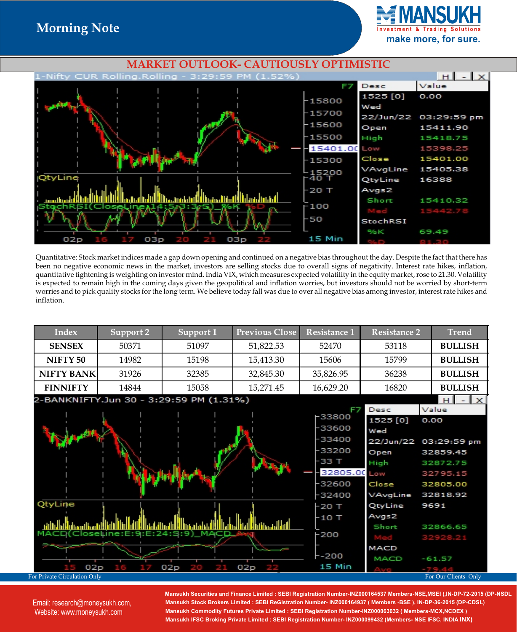**make more, for sure.**



Quantitative: Stock market indices made a gap down opening and continued on a negative bias throughout the day. Despite the fact that there has been no negative economic news in the market, investors are selling stocks due to overall signs of negativity. Interest rate hikes, inflation, quantitative tightening is weighting on investor mind. India VIX, which measures expected volatility in the equity market, rose to 21.30. Volatility is expected to remain high in the coming days given the geopolitical and inflation worries, but investors should not be worried by short-term worries and to pick quality stocks for the long term. We believe today fall was due to over all negative bias among investor, interest rate hikes and inflation.

| Index                                          | Support 2 | Support 1                               | <b>Previous Close</b> | <b>Resistance 1</b>                                                                      | <b>Resistance 2</b>                                                       | <b>Trend</b>                                                                             |
|------------------------------------------------|-----------|-----------------------------------------|-----------------------|------------------------------------------------------------------------------------------|---------------------------------------------------------------------------|------------------------------------------------------------------------------------------|
| <b>SENSEX</b>                                  | 50371     | 51097                                   | 51,822.53             | 52470                                                                                    | 53118                                                                     | <b>BULLISH</b>                                                                           |
| NIFTY <sub>50</sub>                            | 14982     | 15198                                   | 15,413.30             | 15606                                                                                    | 15799                                                                     | <b>BULLISH</b>                                                                           |
| <b>NIFTY BANK</b>                              | 31926     | 32385                                   | 32,845.30             | 35,826.95                                                                                | 36238                                                                     | <b>BULLISH</b>                                                                           |
| <b>FINNIFTY</b>                                | 14844     | 15058                                   | 15,271.45             | 16,629.20                                                                                | 16820                                                                     | <b>BULLISH</b>                                                                           |
|                                                |           | 2-BANKNIFTY.Jun 30 - 3:29:59 PM (1.31%) |                       |                                                                                          |                                                                           | H<br>$\mathbf x$                                                                         |
|                                                |           |                                         |                       | F7<br>⊦33800<br>-33600<br>-33400<br>-33200<br>$-33T$<br>32805.00 Low<br>-32600<br>-32400 | Desc<br>1525 [0]<br>Wed<br>22/Jun/22<br>Open<br>High<br>Close<br>VAvgLine | Value<br>0.00<br>03:29:59 pm<br>32859.45<br>32872.75<br>32795.15<br>32805.00<br>32818.92 |
| QtyLine<br>02p<br>For Private Circulation Only | eiF       | 02p                                     | 02p                   | -20 T<br>-10 T<br>$-200$<br>--200<br>15 Min                                              | QtyLine<br>Avgs2<br>Short<br>MACD<br><b>MACD</b>                          | 9691<br>32866.65<br>32928.21<br>$-61.57$<br>For Our Clients Only                         |

Email: research@moneysukh.com, M **New Delhi-110002, Phone: 91-11- 47617800 , 61287800 Fax: 011- 47617835 , 61287835** Website: www.moneysukh.com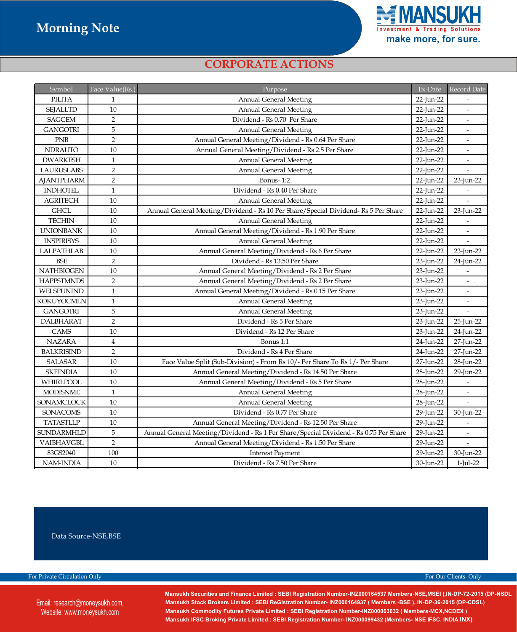

### *CORPORATE ACTIONS*

| Symbol            | Face Value(Rs.) | Purpose                                                                                            |           | Record Date              |
|-------------------|-----------------|----------------------------------------------------------------------------------------------------|-----------|--------------------------|
| <b>PILITA</b>     | $\mathbf{1}$    | <b>Annual General Meeting</b>                                                                      | 22-Jun-22 |                          |
| <b>SEJALLTD</b>   | 10              | <b>Annual General Meeting</b>                                                                      | 22-Jun-22 | $\blacksquare$           |
| <b>SAGCEM</b>     | $\overline{2}$  | Dividend - Rs 0.70 Per Share                                                                       | 22-Jun-22 | $\overline{\phantom{a}}$ |
| <b>GANGOTRI</b>   | 5               | <b>Annual General Meeting</b>                                                                      | 22-Jun-22 |                          |
| <b>PNB</b>        | $\overline{2}$  | Annual General Meeting/Dividend - Rs 0.64 Per Share                                                | 22-Jun-22 |                          |
| <b>NDRAUTO</b>    | 10              | Annual General Meeting/Dividend - Rs 2.5 Per Share                                                 | 22-Jun-22 | $\overline{\phantom{a}}$ |
| <b>DWARKESH</b>   | $\mathbf{1}$    | <b>Annual General Meeting</b>                                                                      | 22-Jun-22 |                          |
| <b>LAURUSLABS</b> | $\,2$           | Annual General Meeting                                                                             | 22-Jun-22 |                          |
| <b>AJANTPHARM</b> | $\overline{2}$  | Bonus-1:2                                                                                          | 22-Jun-22 | 23-Jun-22                |
| <b>INDHOTEL</b>   | $\mathbf{1}$    | Dividend - Rs 0.40 Per Share                                                                       | 22-Jun-22 |                          |
| <b>AGRITECH</b>   | 10              | <b>Annual General Meeting</b>                                                                      | 22-Jun-22 | $\overline{a}$           |
| <b>GHCL</b>       | 10              | Annual General Meeting/Dividend - Rs 10 Per Share/Special Dividend- Rs 5 Per Share                 | 22-Jun-22 | 23-Jun-22                |
| <b>TECHIN</b>     | 10              | <b>Annual General Meeting</b>                                                                      | 22-Jun-22 |                          |
| <b>UNIONBANK</b>  | 10              | Annual General Meeting/Dividend - Rs 1.90 Per Share                                                | 22-Jun-22 | $\overline{\phantom{a}}$ |
| <b>INSPIRISYS</b> | 10              | <b>Annual General Meeting</b>                                                                      | 22-Jun-22 | $\overline{\phantom{a}}$ |
| <b>LALPATHLAB</b> | $10\,$          | Annual General Meeting/Dividend - Rs 6 Per Share                                                   | 22-Jun-22 | 23-Jun-22                |
| <b>BSE</b>        | 2               | Dividend - Rs 13.50 Per Share<br>23-Jun-22                                                         |           | 24-Jun-22                |
| <b>NATHBIOGEN</b> | 10              | Annual General Meeting/Dividend - Rs 2 Per Share                                                   | 23-Jun-22 | $\overline{\phantom{a}}$ |
| <b>HAPPSTMNDS</b> | $\sqrt{2}$      | Annual General Meeting/Dividend - Rs 2 Per Share                                                   | 23-Jun-22 | $\sim$ $\sim$            |
| WELSPUNIND        | $\mathbf{1}$    | Annual General Meeting/Dividend - Rs 0.15 Per Share                                                | 23-Jun-22 | $\blacksquare$           |
| <b>KOKUYOCMLN</b> | $\mathbf 1$     | <b>Annual General Meeting</b>                                                                      | 23-Jun-22 |                          |
| <b>GANGOTRI</b>   | $\overline{5}$  | <b>Annual General Meeting</b>                                                                      | 23-Jun-22 |                          |
| <b>DALBHARAT</b>  | $\overline{2}$  | Dividend - Rs 5 Per Share                                                                          | 23-Jun-22 | 25-Jun-22                |
| CAMS              | 10              | Dividend - Rs 12 Per Share                                                                         | 23-Jun-22 | 24-Jun-22                |
| <b>NAZARA</b>     | $\overline{4}$  | Bonus 1:1                                                                                          | 24-Jun-22 | 27-Jun-22                |
| <b>BALKRISIND</b> | $\overline{2}$  | Dividend - Rs 4 Per Share                                                                          | 24-Jun-22 | 27-Jun-22                |
| <b>SALASAR</b>    | 10              | Face Value Split (Sub-Division) - From Rs 10/- Per Share To Rs 1/- Per Share                       | 27-Jun-22 | 28-Jun-22                |
| <b>SKFINDIA</b>   | $10\,$          | Annual General Meeting/Dividend - Rs 14.50 Per Share                                               | 28-Jun-22 | 29-Jun-22                |
| WHIRLPOOL         | 10              | Annual General Meeting/Dividend - Rs 5 Per Share<br>28-Jun-22                                      |           |                          |
| <b>MODISNME</b>   | $\mathbf{1}$    | <b>Annual General Meeting</b><br>28-Jun-22                                                         |           | $\blacksquare$           |
| <b>SONAMCLOCK</b> | 10              | <b>Annual General Meeting</b><br>28-Jun-22                                                         |           |                          |
| SONACOMS          | 10              | Dividend - Rs 0.77 Per Share<br>29-Jun-22                                                          |           | 30-Jun-22                |
| <b>TATASTLLP</b>  | 10              | Annual General Meeting/Dividend - Rs 12.50 Per Share                                               | 29-Jun-22 |                          |
| <b>SUNDARMHLD</b> | 5               | Annual General Meeting/Dividend - Rs 1 Per Share/Special Dividend - Rs 0.75 Per Share<br>29-Jun-22 |           | $\overline{a}$           |
| VAIBHAVGBL        | $\overline{2}$  | Annual General Meeting/Dividend - Rs 1.50 Per Share                                                | 29-Jun-22 |                          |
| 83GS2040          | 100             | <b>Interest Payment</b>                                                                            | 29-Jun-22 | 30-Jun-22                |
| NAM-INDIA         | 10              | Dividend - Rs 7.50 Per Share<br>30-Jun-22                                                          |           | 1-Jul-22                 |

Data Source-NSE, BSE

For Private Circulation Only **For Our Clients Only** For Our Clients Only

Email: research@moneysukh.com, M **New Delhi-110002, Phone: 91-11- 47617800 , 61287800 Fax: 011- 47617835 , 61287835** Website: www.moneysukh.com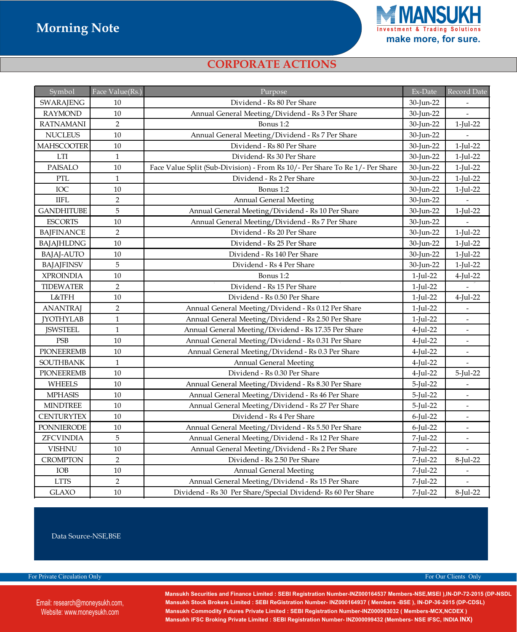

### *CORPORATE ACTIONS*

| Symbol                      | Face Value(Rs.)  | Purpose                                                                      |             | Record Date              |
|-----------------------------|------------------|------------------------------------------------------------------------------|-------------|--------------------------|
| SWARAJENG                   | 10               | Dividend - Rs 80 Per Share                                                   | 30-Jun-22   |                          |
| <b>RAYMOND</b>              | 10               | Annual General Meeting/Dividend - Rs 3 Per Share                             | 30-Jun-22   |                          |
| <b>RATNAMANI</b>            | $\sqrt{2}$       | Bonus 1:2                                                                    | 30-Jun-22   | 1-Jul-22                 |
| <b>NUCLEUS</b>              | 10               | Annual General Meeting/Dividend - Rs 7 Per Share                             | 30-Jun-22   |                          |
| <b>MAHSCOOTER</b>           | 10               | Dividend - Rs 80 Per Share                                                   | 30-Jun-22   | $1$ -Jul-22              |
| $\mathop{\rm LTI}\nolimits$ | $\mathbf 1$      | Dividend-Rs 30 Per Share                                                     | 30-Jun-22   | $1$ -Jul-22              |
| <b>PAISALO</b>              | $10\,$           | Face Value Split (Sub-Division) - From Rs 10/- Per Share To Re 1/- Per Share | 30-Jun-22   | 1-Jul-22                 |
| PTL                         | $\mathbf{1}$     | Dividend - Rs 2 Per Share                                                    | 30-Jun-22   | 1-Jul-22                 |
| IOC                         | 10               | Bonus 1:2                                                                    | 30-Jun-22   | 1-Jul-22                 |
| <b>IIFL</b>                 | $\overline{2}$   | <b>Annual General Meeting</b>                                                | 30-Jun-22   |                          |
| <b>GANDHITUBE</b>           | 5                | Annual General Meeting/Dividend - Rs 10 Per Share                            | 30-Jun-22   | 1-Jul-22                 |
| <b>ESCORTS</b>              | 10               | Annual General Meeting/Dividend - Rs 7 Per Share                             | 30-Jun-22   |                          |
| <b>BAJFINANCE</b>           | $\overline{2}$   | Dividend - Rs 20 Per Share                                                   | 30-Jun-22   | 1-Jul-22                 |
| BAJAJHLDNG                  | 10               | Dividend - Rs 25 Per Share                                                   | 30-Jun-22   | 1-Jul-22                 |
| <b>BAJAJ-AUTO</b>           | 10               | Dividend - Rs 140 Per Share                                                  | 30-Jun-22   | 1-Jul-22                 |
| <b>BAJAJFINSV</b>           | 5                | Dividend - Rs 4 Per Share                                                    | 30-Jun-22   | 1-Jul-22                 |
| <b>XPROINDIA</b>            | 10               | Bonus 1:2<br>1-Jul-22                                                        |             | 4-Jul-22                 |
| <b>TIDEWATER</b>            | $\overline{2}$   | Dividend - Rs 15 Per Share                                                   | $1$ -Jul-22 |                          |
| L&TFH                       | 10               | Dividend - Rs 0.50 Per Share                                                 | 1-Jul-22    | 4-Jul-22                 |
| <b>ANANTRAJ</b>             | $\boldsymbol{2}$ | Annual General Meeting/Dividend - Rs 0.12 Per Share                          | 1-Jul-22    |                          |
| <b>JYOTHYLAB</b>            | $\mathbf{1}$     | Annual General Meeting/Dividend - Rs 2.50 Per Share                          | 1-Jul-22    | $\overline{\phantom{a}}$ |
| <b>JSWSTEEL</b>             | $\,1\,$          | Annual General Meeting/Dividend - Rs 17.35 Per Share                         | 4-Jul-22    | $\overline{\phantom{a}}$ |
| <b>PSB</b>                  | 10               | Annual General Meeting/Dividend - Rs 0.31 Per Share                          | 4-Jul-22    | $\overline{\phantom{a}}$ |
| <b>PIONEEREMB</b>           | 10               | Annual General Meeting/Dividend - Rs 0.3 Per Share                           |             | $\bar{\phantom{a}}$      |
| <b>SOUTHBANK</b>            | $\mathbf{1}$     | <b>Annual General Meeting</b>                                                | 4-Jul-22    | $\overline{\phantom{a}}$ |
| <b>PIONEEREMB</b>           | 10               | Dividend - Rs 0.30 Per Share                                                 | 4-Jul-22    | 5-Jul-22                 |
| <b>WHEELS</b>               | 10               | Annual General Meeting/Dividend - Rs 8.30 Per Share                          | 5-Jul-22    |                          |
| <b>MPHASIS</b>              | 10               | Annual General Meeting/Dividend - Rs 46 Per Share                            | 5-Jul-22    |                          |
| <b>MINDTREE</b>             | 10               | Annual General Meeting/Dividend - Rs 27 Per Share                            |             |                          |
| <b>CENTURYTEX</b>           | $10\,$           | Dividend - Rs 4 Per Share                                                    |             |                          |
| <b>PONNIERODE</b>           | 10               | Annual General Meeting/Dividend - Rs 5.50 Per Share                          |             | $\frac{1}{2}$            |
| ZFCVINDIA                   | 5                | Annual General Meeting/Dividend - Rs 12 Per Share                            |             |                          |
| <b>VISHNU</b>               | $10\,$           | Annual General Meeting/Dividend - Rs 2 Per Share                             |             |                          |
| <b>CROMPTON</b>             | $\overline{2}$   | Dividend - Rs 2.50 Per Share                                                 | 7-Jul-22    | 8-Jul-22                 |
| IOB                         | $10\,$           | <b>Annual General Meeting</b>                                                | 7-Jul-22    |                          |
| <b>LTTS</b>                 | $\overline{2}$   | Annual General Meeting/Dividend - Rs 15 Per Share                            | 7-Jul-22    |                          |
| <b>GLAXO</b>                | 10               | Dividend - Rs 30 Per Share/Special Dividend- Rs 60 Per Share                 | 7-Jul-22    | 8-Jul-22                 |

Data Source-NSE, BSE

For Private Circulation Only **For Our Clients Only For Our Clients Only For Our Clients Only** 

Email: research@moneysukh.com, M **New Delhi-110002, Phone: 91-11- 47617800 , 61287800 Fax: 011- 47617835 , 61287835** Website: www.moneysukh.com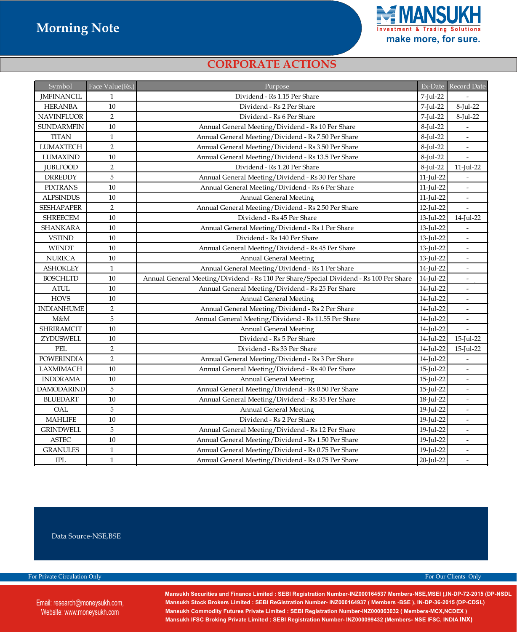

### *CORPORATE ACTIONS*

| Symbol                 | Face Value(Rs.) | Purpose                                                                                |              | Ex-Date Record Date      |
|------------------------|-----------------|----------------------------------------------------------------------------------------|--------------|--------------------------|
| <b>JMFINANCIL</b>      | $\mathbf{1}$    | Dividend - Rs 1.15 Per Share                                                           | 7-Jul-22     |                          |
| <b>HERANBA</b>         | 10              | Dividend - Rs 2 Per Share                                                              | 7-Jul-22     | 8-Jul-22                 |
| <b>NAVINFLUOR</b>      | $\overline{2}$  | Dividend - Rs 6 Per Share                                                              | 7-Jul-22     | 8-Jul-22                 |
| <b>SUNDARMFIN</b>      | 10              | Annual General Meeting/Dividend - Rs 10 Per Share                                      | 8-Jul-22     |                          |
| <b>TITAN</b>           | $\mathbf{1}$    | Annual General Meeting/Dividend - Rs 7.50 Per Share                                    | 8-Jul-22     | $\overline{\phantom{a}}$ |
| <b>LUMAXTECH</b>       | $\overline{2}$  | Annual General Meeting/Dividend - Rs 3.50 Per Share                                    | 8-Jul-22     | $\overline{\phantom{a}}$ |
| <b>LUMAXIND</b>        | 10              | Annual General Meeting/Dividend - Rs 13.5 Per Share                                    | 8-Jul-22     |                          |
| <b>JUBLFOOD</b>        | $\overline{2}$  | Dividend - Rs 1.20 Per Share                                                           | 8-Jul-22     | $11$ -Jul-22             |
| <b>DRREDDY</b>         | 5               | Annual General Meeting/Dividend - Rs 30 Per Share                                      | $11$ -Jul-22 |                          |
| <b>PIXTRANS</b>        | 10              | Annual General Meeting/Dividend - Rs 6 Per Share                                       | 11-Jul-22    | $\overline{\phantom{a}}$ |
| <b>ALPSINDUS</b>       | 10              | <b>Annual General Meeting</b>                                                          | $11$ -Jul-22 | $\frac{1}{2}$            |
| <b>SESHAPAPER</b>      | $\overline{2}$  | Annual General Meeting/Dividend - Rs 2.50 Per Share                                    | 12-Jul-22    |                          |
| <b>SHREECEM</b>        | 10              | Dividend - Rs 45 Per Share                                                             | 13-Jul-22    | 14-Jul-22                |
| <b>SHANKARA</b>        | 10              | Annual General Meeting/Dividend - Rs 1 Per Share                                       | 13-Jul-22    |                          |
| <b>VSTIND</b>          | 10              | Dividend - Rs 140 Per Share                                                            | 13-Jul-22    | $\overline{\phantom{a}}$ |
| <b>WENDT</b>           | 10              | Annual General Meeting/Dividend - Rs 45 Per Share                                      | 13-Jul-22    |                          |
| <b>NURECA</b>          | 10              | <b>Annual General Meeting</b><br>13-Jul-22                                             |              | $\overline{a}$           |
| <b>ASHOKLEY</b>        | $1\,$           | Annual General Meeting/Dividend - Rs 1 Per Share                                       | 14-Jul-22    | $\frac{1}{2}$            |
| <b>BOSCHLTD</b>        | 10              | Annual General Meeting/Dividend - Rs 110 Per Share/Special Dividend - Rs 100 Per Share | 14-Jul-22    | $\overline{\phantom{a}}$ |
| <b>ATUL</b>            | $10\,$          | Annual General Meeting/Dividend - Rs 25 Per Share                                      | 14-Jul-22    | $\overline{\phantom{a}}$ |
| <b>HOVS</b>            | 10              | <b>Annual General Meeting</b>                                                          | 14-Jul-22    | $\overline{\phantom{a}}$ |
| <b>INDIANHUME</b>      | $\overline{2}$  | Annual General Meeting/Dividend - Rs 2 Per Share                                       | 14-Jul-22    | $\overline{\phantom{a}}$ |
| M&M                    | $\sqrt{5}$      | Annual General Meeting/Dividend - Rs 11.55 Per Share                                   | 14-Jul-22    | $\overline{\phantom{a}}$ |
| <b>SHRIRAMCIT</b>      | $10\,$          | 14-Jul-22<br><b>Annual General Meeting</b>                                             |              | $\overline{\phantom{a}}$ |
| ZYDUSWELL              | $10\,$          | Dividend - Rs 5 Per Share                                                              | 14-Jul-22    | $15$ -Jul-22             |
| PEL                    | $\overline{2}$  | Dividend - Rs 33 Per Share                                                             | 14-Jul-22    | 15-Jul-22                |
| <b>POWERINDIA</b>      | $\sqrt{2}$      | Annual General Meeting/Dividend - Rs 3 Per Share                                       | 14-Jul-22    | $\overline{\phantom{a}}$ |
| LAXMIMACH              | 10              | Annual General Meeting/Dividend - Rs 40 Per Share                                      | 15-Jul-22    | $\overline{\phantom{a}}$ |
| <b>INDORAMA</b>        | $10\,$          | <b>Annual General Meeting</b>                                                          | 15-Jul-22    | $\overline{\phantom{a}}$ |
| <b>DAMODARIND</b>      | $\sqrt{5}$      | Annual General Meeting/Dividend - Rs 0.50 Per Share<br>15-Jul-22                       |              | $\overline{\phantom{a}}$ |
| <b>BLUEDART</b>        | $10\,$          | Annual General Meeting/Dividend - Rs 35 Per Share<br>18-Jul-22                         |              | $\overline{a}$           |
| OAL                    | $\overline{5}$  | <b>Annual General Meeting</b><br>19-Jul-22                                             |              | $\overline{a}$           |
| <b>MAHLIFE</b>         | 10              | 19-Jul-22<br>Dividend - Rs 2 Per Share                                                 |              |                          |
| <b>GRINDWELL</b>       | $\mathbf 5$     | 19-Jul-22<br>Annual General Meeting/Dividend - Rs 12 Per Share                         |              | $\overline{a}$           |
| $\operatorname{ASTEC}$ | $10\,$          | Annual General Meeting/Dividend - Rs 1.50 Per Share                                    | 19-Jul-22    |                          |
| <b>GRANULES</b>        | $\mathbf{1}$    | Annual General Meeting/Dividend - Rs 0.75 Per Share                                    | 19-Jul-22    | $\overline{a}$           |
| <b>IPL</b>             | $\mathbf{1}$    | 20-Jul-22<br>Annual General Meeting/Dividend - Rs 0.75 Per Share                       |              | $\overline{a}$           |

Data Source-NSE, BSE

For Private Circulation Only **For Our Clients Only** For Our Clients Only

Email: research@moneysukh.com, M **New Delhi-110002, Phone: 91-11- 47617800 , 61287800 Fax: 011- 47617835 , 61287835** Website: www.moneysukh.com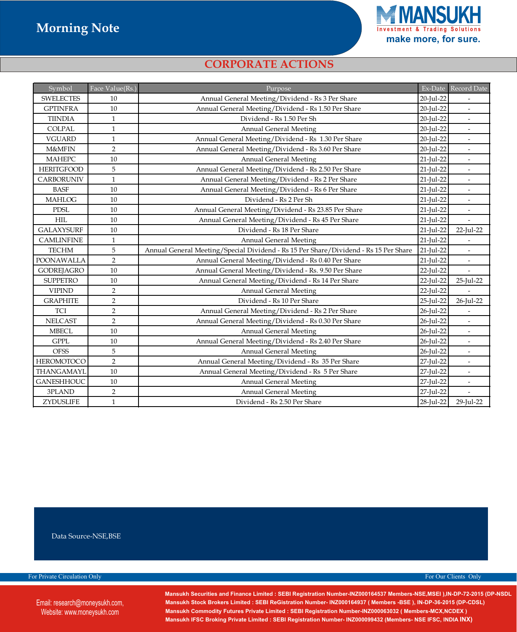

### *CORPORATE ACTIONS*

| Symbol            | Face Value(Rs.) | Purpose                                                                              |              | Ex-Date Record Date      |
|-------------------|-----------------|--------------------------------------------------------------------------------------|--------------|--------------------------|
| <b>SWELECTES</b>  | 10              | Annual General Meeting/Dividend - Rs 3 Per Share<br>20-Jul-22                        |              |                          |
| <b>GPTINFRA</b>   | 10              | Annual General Meeting/Dividend - Rs 1.50 Per Share                                  | 20-Jul-22    | $\overline{\phantom{a}}$ |
| <b>TIINDIA</b>    | $\mathbf{1}$    | Dividend - Rs 1.50 Per Sh                                                            | 20-Jul-22    | $\overline{a}$           |
| <b>COLPAL</b>     | $\mathbf{1}$    | Annual General Meeting                                                               | 20-Jul-22    | $\overline{\phantom{a}}$ |
| <b>VGUARD</b>     | $\mathbf{1}$    | Annual General Meeting/Dividend - Rs 1.30 Per Share                                  | 20-Jul-22    | $\overline{\phantom{a}}$ |
| <b>M&amp;MFIN</b> | $\overline{2}$  | Annual General Meeting/Dividend - Rs 3.60 Per Share                                  | 20-Jul-22    | $\overline{a}$           |
| <b>MAHEPC</b>     | 10              | <b>Annual General Meeting</b>                                                        | 21-Jul-22    | $\overline{\phantom{a}}$ |
| <b>HERITGFOOD</b> | 5               | Annual General Meeting/Dividend - Rs 2.50 Per Share                                  | $21$ -Jul-22 | $\overline{\phantom{a}}$ |
| <b>CARBORUNIV</b> | $\mathbf{1}$    | Annual General Meeting/Dividend - Rs 2 Per Share                                     | 21-Jul-22    | $\blacksquare$           |
| <b>BASF</b>       | 10              | Annual General Meeting/Dividend - Rs 6 Per Share                                     | 21-Jul-22    | $\blacksquare$           |
| <b>MAHLOG</b>     | $10\,$          | Dividend - Rs 2 Per Sh                                                               | 21-Jul-22    | $\blacksquare$           |
| <b>PDSL</b>       | 10              | Annual General Meeting/Dividend - Rs 23.85 Per Share                                 | 21-Jul-22    | $\overline{\phantom{a}}$ |
| <b>HIL</b>        | 10              | Annual General Meeting/Dividend - Rs 45 Per Share                                    | 21-Jul-22    | $\overline{a}$           |
| <b>GALAXYSURF</b> | $10\,$          | Dividend - Rs 18 Per Share<br>21-Jul-22                                              |              | 22-Jul-22                |
| <b>CAMLINFINE</b> | $\mathbf{1}$    | 21-Jul-22<br><b>Annual General Meeting</b>                                           |              | $\overline{\phantom{a}}$ |
| <b>TECHM</b>      | 5               | Annual General Meeting/Special Dividend - Rs 15 Per Share/Dividend - Rs 15 Per Share | 21-Jul-22    | $\overline{\phantom{a}}$ |
| POONAWALLA        | $\overline{2}$  | Annual General Meeting/Dividend - Rs 0.40 Per Share                                  | 21-Jul-22    | $\blacksquare$           |
| <b>GODREJAGRO</b> | $10\,$          | Annual General Meeting/Dividend - Rs. 9.50 Per Share                                 | 22-Jul-22    |                          |
| <b>SUPPETRO</b>   | $10\,$          | Annual General Meeting/Dividend - Rs 14 Per Share                                    | 22-Jul-22    | 25-Jul <sub>7</sub> 22   |
| <b>VIPIND</b>     | $\overline{2}$  | <b>Annual General Meeting</b><br>22-Jul-22                                           |              |                          |
| <b>GRAPHITE</b>   | $\overline{2}$  | Dividend - Rs 10 Per Share                                                           | 25-Jul-22    | 26-Jul-22                |
| TCI               | $\overline{2}$  | Annual General Meeting/Dividend - Rs 2 Per Share                                     | 26-Jul-22    |                          |
| <b>NELCAST</b>    | $\overline{2}$  | Annual General Meeting/Dividend - Rs 0.30 Per Share                                  | 26-Jul-22    | $\overline{\phantom{a}}$ |
| <b>MBECL</b>      | 10              | <b>Annual General Meeting</b><br>26-Jul-22                                           |              | $\overline{\phantom{a}}$ |
|                   |                 | Annual General Meeting/Dividend - Rs 2.40 Per Share                                  |              |                          |
| <b>GPPL</b>       | 10              |                                                                                      | 26-Jul-22    | $\overline{\phantom{a}}$ |
| <b>OFSS</b>       | 5               | <b>Annual General Meeting</b>                                                        | 26-Jul-22    | $\overline{\phantom{a}}$ |
| <b>HEROMOTOCO</b> | $\overline{2}$  | Annual General Meeting/Dividend - Rs 35 Per Share                                    | 27-Jul-22    | $\overline{\phantom{a}}$ |
| THANGAMAYL        | $10\,$          | Annual General Meeting/Dividend - Rs 5 Per Share                                     | 27-Jul-22    | $\overline{\phantom{a}}$ |
| <b>GANESHHOUC</b> | $10\,$          | <b>Annual General Meeting</b>                                                        | 27-Jul-22    | $\frac{1}{2}$            |
| 3PLAND            | $\overline{2}$  | <b>Annual General Meeting</b>                                                        | 27-Jul-22    | $\overline{\phantom{a}}$ |

Data Source-NSE, BSE

For Private Circulation Only **For Our Clients Only For Our Clients Only For Our Clients Only** 

Email: research@moneysukh.com, M **New Delhi-110002, Phone: 91-11- 47617800 , 61287800 Fax: 011- 47617835 , 61287835** Website: www.moneysukh.com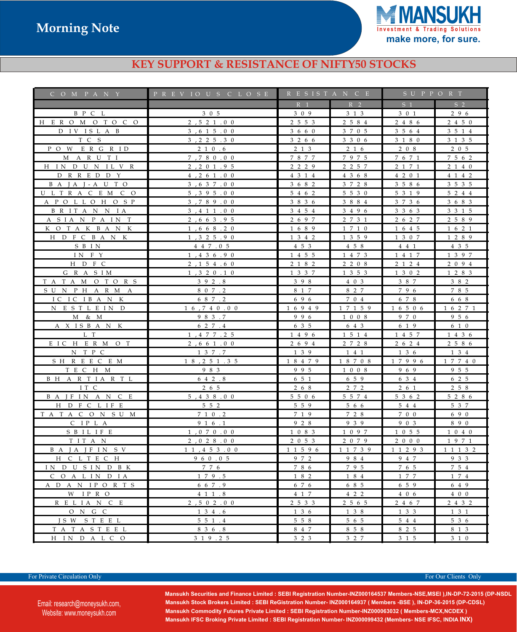

### **KEY SUPPORT & RESISTANCE OF NIFTY50 STOCKS**

| C O M P A N Y               | PREVIOUS CLOSE           | R E S I S T A N C E |                | SUPPORT             |                |
|-----------------------------|--------------------------|---------------------|----------------|---------------------|----------------|
|                             |                          | R <sub>1</sub>      | R <sub>2</sub> | $S_1$               | S <sub>2</sub> |
| B P C L                     | 3 0 5                    | 3 0 9               | 3 1 3          | 3 0 1               | 2 9 6          |
| H E R O M O T O C O         | 2, 5, 2, 1, 0, 0         | 2 5 5 3             | 2 5 8 4        | 2 4 8 6             | 2 4 5 0        |
| D IV ISLAB                  | 3, 6 1 5 . 0 0           | 3 6 6 0             | 3 7 0 5        | 3 5 6 4             | 3 5 1 4        |
| T C S                       | 3, 2, 2, 5, 3, 0         | 3 2 6 6             | 3 3 0 6        | 3 1 8 0             | 3 1 3 5        |
| POW ERGRID                  | 2 1 0 .6                 | 2 1 3               | 2 1 6          | 2 0 8               | 2 0 5          |
| M A R U T I                 | 7,780.00                 | 7877                | 7975           | 7671                | 7 5 6 2        |
| H IN D U N IL V R           | 2, 2, 0, 1, 9, 5         | 2 2 2 9             | 2 2 5 7        | 2 1 7 1             | 2 1 4 0        |
| D R R E D D Y               | 4, 2, 6, 1, 0, 0         | 4 3 1 4             | 4 3 6 8        | 4 2 0 1             | 4 1 4 2        |
| B A J A J - A U T O         | 3, 637.00                | 3 6 8 2             | 3 7 2 8        | 3 5 8 6             | 3 5 3 5        |
| U L T R A C E M C O         | 5, 3, 9, 5, 0, 0         | 5 4 6 2             | 5 5 3 0        | 5 3 1 9             | 5 2 4 4        |
| A P O L L O H O S P         | 3,789.00                 | 3 8 3 6             | 3 8 8 4        | 3 7 3 6             | 3 6 8 3        |
| B R IT A N N IA             | 3, 4 1 1 . 0 0           | 3 4 5 4             | 3 4 9 6        | 3 3 6 3             | 3 3 1 5        |
| A SIA N P A IN T            | 2,663.95                 | 2 6 9 7             | 2 7 3 1        | 2 6 2 7             | 2 5 8 9        |
| K O T A K B A N K           | 1,668.20                 | 1 6 8 9             | 1 7 1 0        | 1 6 4 5             | 1 6 2 1        |
| H D F C B A N K             | 1, 3, 2, 5, 9, 0         | 1 3 4 2             | 1 3 5 9        | 1 3 0 7             | 1 2 8 9        |
| S B IN                      | 4 4 7 .0 5               | 4 5 3               | 4 5 8          | 4 4 1               | 4 3 5          |
| IN FY                       | 1, 4 3 6 .9 0            | 1 4 5 5             | 1 4 7 3        | 1417                | 1 3 9 7        |
| H D F C                     | 2, 1 5 4 . 6 0           | 2 1 8 2             | 2 2 0 8        | 2 1 2 4             | 2 0 9 4        |
| G R A S I M                 | 1, 3, 2, 0, 1, 0         | 1 3 3 7             | 1 3 5 3        | 1 3 0 2             | 1 2 8 3        |
| TATAM OTORS                 | 392.8                    | 398                 | 4 0 3          | 3 8 7               | 3 8 2          |
| SUNPHARMA                   | 8 0 7 . 2                | 8 1 7               | 8 2 7          | 796                 | 7 8 5          |
| ICICIBANK                   | 6 8 7 . 2                | 696                 | 7 0 4          | 6 7 8               | 6 6 8          |
| N ESTLEIN D                 | 1 6 7 4 0 .0 0           | 16949               | 17159          | 1 6 5 0 6           | 1 6 2 7 1      |
| M & M                       | 983.7                    | 996                 | 1 0 0 8        | 9 7 0               | 9 5 6          |
| A X ISBANK                  | 6 2 7 .4                 | 6 3 5               | 6 4 3          | 6 1 9               | 6 1 0          |
| L T                         | 1, 4 7 7 . 2 5           | 1 4 9 6             | 1 5 1 4        | 1 4 5 7             | 1 4 3 6        |
| EICH ER MOT                 | 2,661.00                 | 2 6 9 4             | 2 7 2 8        | 2 6 2 4             | 2 5 8 6        |
| N T P C                     | 1 3 7 .7                 | 1 3 9               | 141            | 1 3 6               | 1 3 4          |
| SH R E E C E M              | 1 8 , 2 5 1 . 3 5        | 18479               | 18708          | 17996               | 1 7 7 4 0      |
| TECH M                      | 9 8 3                    | 995                 | 1 0 0 8        | 969                 | 9 5 5          |
| B H A R T I A R T L         | $6\quad 4\quad 2\quad 8$ | 6 5 1               | 6 5 9          | 6 3 4               | 6 2 5          |
| IT C                        | 2 6 5                    | 2 6 8               | 2 7 2          | 2 6 1               | 2 5 8          |
| B A J F I N A N C E         | 5, 4 3 8 .0 0            | 5 5 0 6             | 5 5 7 4        | 5 3 6 2             | 5 2 8 6        |
| H D F C L IF E              | 5 5 2                    | 5 5 9               | 5 6 6          | 5 4 4               | 5 3 7          |
| TATACON SUM                 | 7 1 0 .2                 | 7 1 9               | 7 2 8          | 7 0 0               | 690            |
| C IP L A                    | 9 1 6 .1                 | 9 2 8               | 9 3 9          | 9 0 3               | 890            |
| S B I L I F E               | 1, 0, 7, 0, 0, 0         | 1 0 8 3             | 1 0 9 7        | 1 0 5 5             | 1 0 4 0        |
| TITAN                       | 2, 0 2 8 .0 0            | 2053                | 2 0 7 9        | 2000                | 1971           |
| B A J A J F I N S V         | 11, 453.00               | 1 1 5 9 6           | 1 1 7 3 9      | 1 1 2 9 3           | 1 1 1 3 2      |
| H C L T E C H               | 9 6 0 .0 5               | 9 7 2               | 9 8 4          | 9 4 7               | 9 3 3          |
| IN DUSINDBK                 | 7 7 6                    | 7 8 6               | 795            | 7 6 5               | 7 5 4          |
| C O A L IN D IA             | 179.5                    | 1 8 2               | 1 8 4          | 1 7 7               | 1 7 4          |
| A D A N IPORTS              | 6 6 7 .9                 | 6 7 6               | 6 8 5          | 6 5 9               | 6 4 9          |
| W IPRO                      | 4 1 1 .8                 | 4 1 7               | $4$ 2 2        | 4 0 6               | 4 0 0          |
| R E L I A N C E             | 2, 5, 0, 2, 0, 0         | 2 5 3 3             | 2 5 6 5        | 2 4 6 7             | 2 4 3 2        |
| ONGC                        | $1\,3\,4\,.6$            | 136                 | 1 3 8          | $1 \quad 3 \quad 3$ | $1 \t3 \t1$    |
| JSW STEEL                   | $5\;5\;1\; .4$           | 5 5 8               | 5 6 5          | 5 4 4               | 5 3 6          |
| TATASTEEL<br>H IN D A L C O | 8 3 6 .8<br>3 1 9 . 2 5  | 8 4 7<br>3 2 3      | 8 5 8<br>3 2 7 | 8 2 5<br>3 1 5      | 8 1 3<br>3 1 0 |
|                             |                          |                     |                |                     |                |

For Private Circulation Only **For Our Clients Only** For Our Clients Only

Email: research@moneysukh.com, Website: www.moneysukh.com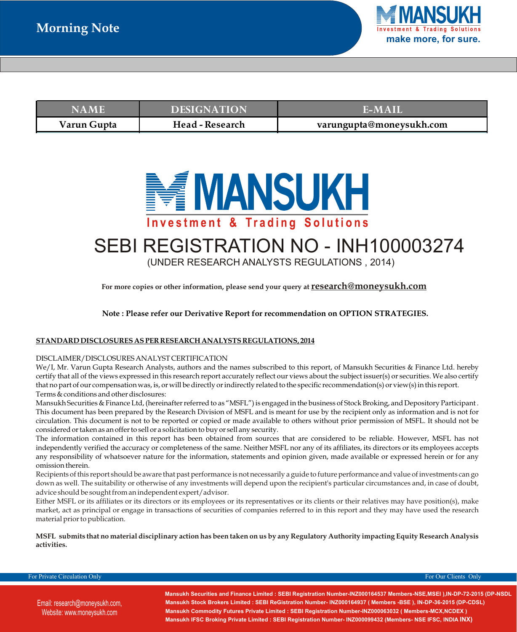

| <b>NAME</b> | <b>DESIGNATION</b>     | <b>TEMAIN</b>            |
|-------------|------------------------|--------------------------|
| Varun Gupta | <b>Head - Research</b> | varungupta@moneysukh.com |



# SEBI REGISTRATION NO - INH100003274

(UNDER RESEARCH ANALYSTS REGULATIONS , 2014)

**For more copies or other information, please send your query at research@moneysukh.com** 

**Note : Please refer our Derivative Report for recommendation on OPTION STRATEGIES.**

#### **STANDARD DISCLOSURES AS PER RESEARCH ANALYSTS REGULATIONS, 2014**

#### DISCLAIMER/DISCLOSURES ANALYST CERTIFICATION

We/I, Mr. Varun Gupta Research Analysts, authors and the names subscribed to this report, of Mansukh Securities & Finance Ltd. hereby certify that all of the views expressed in this research report accurately reflect our views about the subject issuer(s) or securities. We also certify that no part of our compensation was, is, or will be directly or indirectly related to the specific recommendation(s) or view(s) in this report. Terms & conditions and other disclosures:

Mansukh Securities & Finance Ltd, (hereinafter referred to as "MSFL") is engaged in the business of Stock Broking, and Depository Participant. This document has been prepared by the Research Division of MSFL and is meant for use by the recipient only as information and is not for circulation. This document is not to be reported or copied or made available to others without prior permission of MSFL. It should not be considered or taken as an offer to sell or a solicitation to buy or sell any security.

The information contained in this report has been obtained from sources that are considered to be reliable. However, MSFL has not independently verified the accuracy or completeness of the same. Neither MSFL nor any of its affiliates, its directors or its employees accepts any responsibility of whatsoever nature for the information, statements and opinion given, made available or expressed herein or for any omission therein.

Recipients of this report should be aware that past performance is not necessarily a guide to future performance and value of investments can go down as well. The suitability or otherwise of any investments will depend upon the recipient's particular circumstances and, in case of doubt, advice should be sought from an independent expert/advisor.

Either MSFL or its affiliates or its directors or its employees or its representatives or its clients or their relatives may have position(s), make market, act as principal or engage in transactions of securities of companies referred to in this report and they may have used the research material prior to publication.

**MSFL submits that no material disciplinary action has been taken on us by any Regulatory Authority impacting Equity Research Analysis activities.**

For Private Circulation Only **For Our Clients Only For Our Clients Only** For Our Clients Only

Email: research@moneysukh.com, **New Delhi-110002, Phone: 91-11- 47617800 , 61287800 Fax: 011- 47617835 , 61287835** Website: www.moneysukh.com